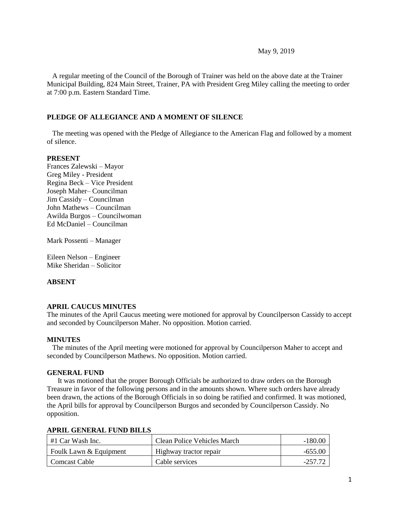### May 9, 2019

 A regular meeting of the Council of the Borough of Trainer was held on the above date at the Trainer Municipal Building, 824 Main Street, Trainer, PA with President Greg Miley calling the meeting to order at 7:00 p.m. Eastern Standard Time.

### **PLEDGE OF ALLEGIANCE AND A MOMENT OF SILENCE**

 The meeting was opened with the Pledge of Allegiance to the American Flag and followed by a moment of silence.

### **PRESENT**

Frances Zalewski – Mayor Greg Miley - President Regina Beck – Vice President Joseph Maher– Councilman Jim Cassidy – Councilman John Mathews – Councilman Awilda Burgos – Councilwoman Ed McDaniel – Councilman

Mark Possenti – Manager

Eileen Nelson – Engineer Mike Sheridan – Solicitor

### **ABSENT**

### **APRIL CAUCUS MINUTES**

The minutes of the April Caucus meeting were motioned for approval by Councilperson Cassidy to accept and seconded by Councilperson Maher. No opposition. Motion carried.

### **MINUTES**

The minutes of the April meeting were motioned for approval by Councilperson Maher to accept and seconded by Councilperson Mathews. No opposition. Motion carried.

### **GENERAL FUND**

 It was motioned that the proper Borough Officials be authorized to draw orders on the Borough Treasure in favor of the following persons and in the amounts shown. Where such orders have already been drawn, the actions of the Borough Officials in so doing be ratified and confirmed. It was motioned, the April bills for approval by Councilperson Burgos and seconded by Councilperson Cassidy. No opposition.

#### **APRIL GENERAL FUND BILLS**

| #1 Car Wash Inc.       | Clean Police Vehicles March | $-180.00$ |
|------------------------|-----------------------------|-----------|
| Foulk Lawn & Equipment | Highway tractor repair      | -655.00   |
| Comcast Cable          | Cable services              | -257.77   |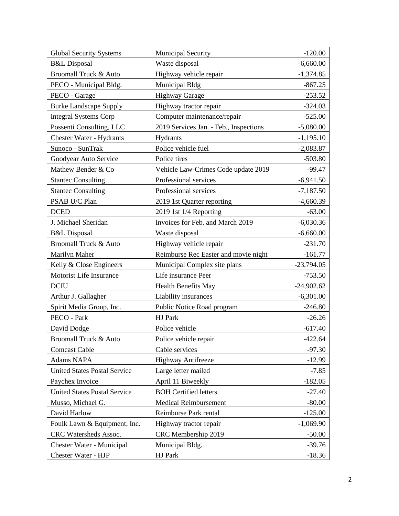| <b>Global Security Systems</b>      | Municipal Security                     | $-120.00$    |
|-------------------------------------|----------------------------------------|--------------|
| <b>B&amp;L</b> Disposal             | Waste disposal                         | $-6,660.00$  |
| Broomall Truck & Auto               | Highway vehicle repair                 | $-1,374.85$  |
| PECO - Municipal Bldg.              | Municipal Bldg                         | $-867.25$    |
| PECO - Garage                       | Highway Garage                         | $-253.52$    |
| <b>Burke Landscape Supply</b>       | Highway tractor repair                 | $-324.03$    |
| <b>Integral Systems Corp</b>        | Computer maintenance/repair            | $-525.00$    |
| Possenti Consulting, LLC            | 2019 Services Jan. - Feb., Inspections | $-5,080.00$  |
| <b>Chester Water - Hydrants</b>     | Hydrants                               | $-1,195.10$  |
| Sunoco - SunTrak                    | Police vehicle fuel                    | $-2,083.87$  |
| Goodyear Auto Service               | Police tires                           | $-503.80$    |
| Mathew Bender & Co                  | Vehicle Law-Crimes Code update 2019    | $-99.47$     |
| <b>Stantec Consulting</b>           | Professional services                  | $-6,941.50$  |
| <b>Stantec Consulting</b>           | Professional services                  | $-7,187.50$  |
| PSAB U/C Plan                       | 2019 1st Quarter reporting             | $-4,660.39$  |
| <b>DCED</b>                         | 2019 1st 1/4 Reporting                 | $-63.00$     |
| J. Michael Sheridan                 | Invoices for Feb. and March 2019       | $-6,030.36$  |
| <b>B&amp;L</b> Disposal             | Waste disposal                         | $-6,660.00$  |
| Broomall Truck & Auto               | Highway vehicle repair                 | $-231.70$    |
| Marilyn Maher                       | Reimburse Rec Easter and movie night   | $-161.77$    |
| Kelly & Close Engineers             | Municipal Complex site plans           | $-23,794.05$ |
| Motorist Life Insurance             | Life insurance Peer                    | $-753.50$    |
| <b>DCIU</b>                         | <b>Health Benefits May</b>             | $-24,902.62$ |
| Arthur J. Gallagher                 | Liability insurances                   | $-6,301.00$  |
| Spirit Media Group, Inc.            | Public Notice Road program             | $-246.80$    |
| PECO - Park                         | HJ Park                                | $-26.26$     |
| David Dodge                         | Police vehicle                         | $-617.40$    |
| Broomall Truck & Auto               | Police vehicle repair                  | $-422.64$    |
| <b>Comcast Cable</b>                | Cable services                         | $-97.30$     |
| Adams NAPA                          | <b>Highway Antifreeze</b>              | $-12.99$     |
| <b>United States Postal Service</b> | Large letter mailed                    | $-7.85$      |
| Paychex Invoice                     | April 11 Biweekly                      | $-182.05$    |
| <b>United States Postal Service</b> | <b>BOH Certified letters</b>           | $-27.40$     |
| Musso, Michael G.                   | <b>Medical Reimbursement</b>           | $-80.00$     |
| David Harlow                        | Reimburse Park rental                  | $-125.00$    |
| Foulk Lawn & Equipment, Inc.        | Highway tractor repair                 | $-1,069.90$  |
| CRC Watersheds Assoc.               | CRC Membership 2019                    | $-50.00$     |
| Chester Water - Municipal           | Municipal Bldg.                        | $-39.76$     |
| Chester Water - HJP                 | HJ Park                                | $-18.36$     |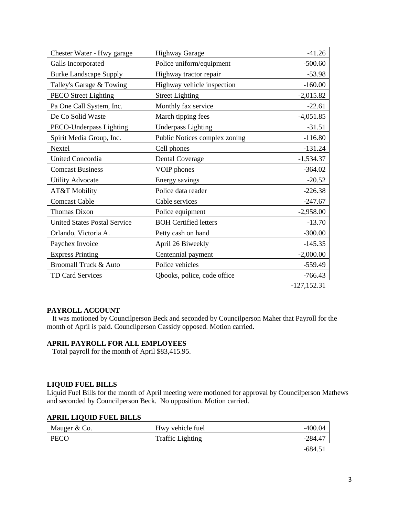| Chester Water - Hwy garage          | <b>Highway Garage</b>         | $-41.26$       |
|-------------------------------------|-------------------------------|----------------|
| Galls Incorporated                  | Police uniform/equipment      | $-500.60$      |
| <b>Burke Landscape Supply</b>       | Highway tractor repair        | $-53.98$       |
| Talley's Garage & Towing            | Highway vehicle inspection    | $-160.00$      |
| <b>PECO Street Lighting</b>         | <b>Street Lighting</b>        | $-2,015.82$    |
| Pa One Call System, Inc.            | Monthly fax service           | $-22.61$       |
| De Co Solid Waste                   | March tipping fees            | $-4,051.85$    |
| PECO-Underpass Lighting             | <b>Underpass Lighting</b>     | $-31.51$       |
| Spirit Media Group, Inc.            | Public Notices complex zoning | $-116.80$      |
| <b>Nextel</b>                       | Cell phones                   | $-131.24$      |
| <b>United Concordia</b>             | <b>Dental Coverage</b>        | $-1,534.37$    |
| <b>Comcast Business</b>             | VOIP phones                   | $-364.02$      |
| <b>Utility Advocate</b>             | Energy savings                | $-20.52$       |
| AT&T Mobility                       | Police data reader            | $-226.38$      |
| <b>Comcast Cable</b>                | Cable services                | $-247.67$      |
| <b>Thomas Dixon</b>                 | Police equipment              | $-2,958.00$    |
| <b>United States Postal Service</b> | <b>BOH Certified letters</b>  | $-13.70$       |
| Orlando, Victoria A.                | Petty cash on hand            | $-300.00$      |
| Paychex Invoice                     | April 26 Biweekly             | $-145.35$      |
| <b>Express Printing</b>             | Centennial payment            | $-2,000.00$    |
| Broomall Truck & Auto               | Police vehicles               | $-559.49$      |
| <b>TD Card Services</b>             | Qbooks, police, code office   | $-766.43$      |
|                                     |                               | $-127, 152.31$ |

### **PAYROLL ACCOUNT**

 It was motioned by Councilperson Beck and seconded by Councilperson Maher that Payroll for the month of April is paid. Councilperson Cassidy opposed. Motion carried.

### **APRIL PAYROLL FOR ALL EMPLOYEES**

Total payroll for the month of April \$83,415.95.

### **LIQUID FUEL BILLS**

Liquid Fuel Bills for the month of April meeting were motioned for approval by Councilperson Mathews and seconded by Councilperson Beck. No opposition. Motion carried.

### **APRIL LIQUID FUEL BILLS**

| Mauger & Co. | Hwy vehicle fuel        | -400.04 |
|--------------|-------------------------|---------|
| PECO         | <b>Traffic Lighting</b> | -284.47 |
|              |                         |         |

-684.51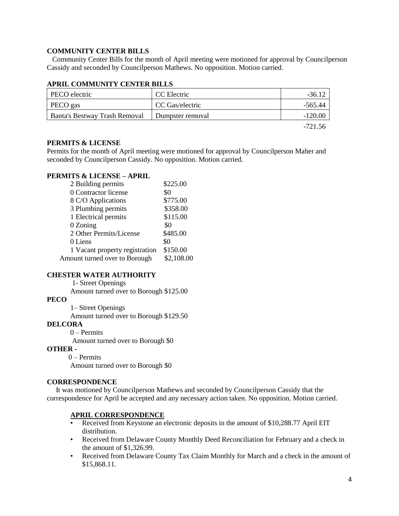## **COMMUNITY CENTER BILLS**

 Community Center Bills for the month of April meeting were motioned for approval by Councilperson Cassidy and seconded by Councilperson Mathews. No opposition. Motion carried.

# **APRIL COMMUNITY CENTER BILLS**

| PECO electric                        | CC Electric      | $-3612$ |
|--------------------------------------|------------------|---------|
| PECO gas                             | CC Gas/electric  | -565.44 |
| <b>Banta's Bestway Trash Removal</b> | Dumpster removal | -120.00 |
|                                      |                  | -721.56 |

### **PERMITS & LICENSE**

Permits for the month of April meeting were motioned for approval by Councilperson Maher and seconded by Councilperson Cassidy. No opposition. Motion carried.

# **PERMITS & LICENSE – APRIL**

| 2 Building permits             | \$225.00   |
|--------------------------------|------------|
| 0 Contractor license           | \$0        |
| 8 C/O Applications             | \$775.00   |
| 3 Plumbing permits             | \$358.00   |
| 1 Electrical permits           | \$115.00   |
| 0 Zoning                       | \$0        |
| 2 Other Permits/License        | \$485.00   |
| 0 Liens                        | \$0        |
| 1 Vacant property registration | \$150.00   |
| Amount turned over to Borough  | \$2,108.00 |

### **CHESTER WATER AUTHORITY**

#### 1- Street Openings

Amount turned over to Borough \$125.00

### **PECO**

1– Street Openings

Amount turned over to Borough \$129.50

### **DELCORA**

0 – Permits Amount turned over to Borough \$0

### **OTHER -**

0 – Permits Amount turned over to Borough \$0

### **CORRESPONDENCE**

 It was motioned by Councilperson Mathews and seconded by Councilperson Cassidy that the correspondence for April be accepted and any necessary action taken. No opposition. Motion carried.

### **APRIL CORRESPONDENCE**

- Received from Keystone an electronic deposits in the amount of \$10,288.77 April EIT distribution.
- Received from Delaware County Monthly Deed Reconciliation for February and a check in the amount of \$1,326.99.
- Received from Delaware County Tax Claim Monthly for March and a check in the amount of \$15,868.11.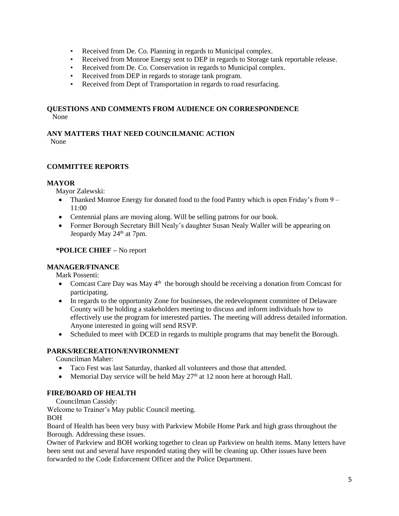- Received from De. Co. Planning in regards to Municipal complex.
- Received from Monroe Energy sent to DEP in regards to Storage tank reportable release.
- Received from De. Co. Conservation in regards to Municipal complex.
- Received from DEP in regards to storage tank program.
- Received from Dept of Transportation in regards to road resurfacing.

# **QUESTIONS AND COMMENTS FROM AUDIENCE ON CORRESPONDENCE** None

# **ANY MATTERS THAT NEED COUNCILMANIC ACTION**

None

# **COMMITTEE REPORTS**

# **MAYOR**

Mayor Zalewski:

- Thanked Monroe Energy for donated food to the food Pantry which is open Friday's from 9 11:00
- Centennial plans are moving along. Will be selling patrons for our book.
- Former Borough Secretary Bill Nealy's daughter Susan Nealy Waller will be appearing on Jeopardy May 24<sup>th</sup> at 7pm.

# **\*POLICE CHIEF –** No report

# **MANAGER/FINANCE**

Mark Possenti:

- Comcast Care Day was May  $4<sup>th</sup>$  the borough should be receiving a donation from Comcast for participating.
- In regards to the opportunity Zone for businesses, the redevelopment committee of Delaware County will be holding a stakeholders meeting to discuss and inform individuals how to effectively use the program for interested parties. The meeting will address detailed information. Anyone interested in going will send RSVP.
- Scheduled to meet with DCED in regards to multiple programs that may benefit the Borough.

# **PARKS/RECREATION/ENVIRONMENT**

Councilman Maher:

- Taco Fest was last Saturday, thanked all volunteers and those that attended.
- Memorial Day service will be held May  $27<sup>th</sup>$  at 12 noon here at borough Hall.

# **FIRE/BOARD OF HEALTH**

Councilman Cassidy:

Welcome to Trainer's May public Council meeting. BOH

Board of Health has been very busy with Parkview Mobile Home Park and high grass throughout the Borough. Addressing these issues.

Owner of Parkview and BOH working together to clean up Parkview on health items. Many letters have been sent out and several have responded stating they will be cleaning up. Other issues have been forwarded to the Code Enforcement Officer and the Police Department.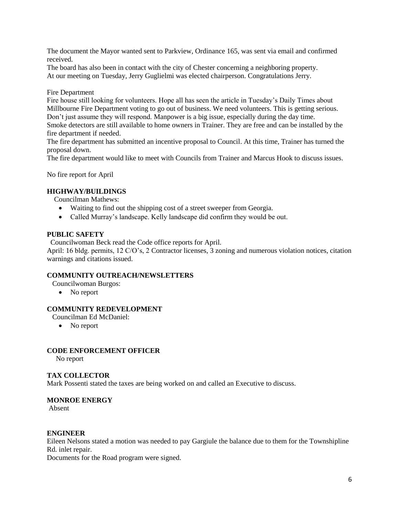The document the Mayor wanted sent to Parkview, Ordinance 165, was sent via email and confirmed received.

The board has also been in contact with the city of Chester concerning a neighboring property. At our meeting on Tuesday, Jerry Guglielmi was elected chairperson. Congratulations Jerry.

Fire Department

Fire house still looking for volunteers. Hope all has seen the article in Tuesday's Daily Times about Millbourne Fire Department voting to go out of business. We need volunteers. This is getting serious. Don't just assume they will respond. Manpower is a big issue, especially during the day time. Smoke detectors are still available to home owners in Trainer. They are free and can be installed by the fire department if needed.

The fire department has submitted an incentive proposal to Council. At this time, Trainer has turned the proposal down.

The fire department would like to meet with Councils from Trainer and Marcus Hook to discuss issues.

No fire report for April

### **HIGHWAY/BUILDINGS**

Councilman Mathews:

- Waiting to find out the shipping cost of a street sweeper from Georgia.
- Called Murray's landscape. Kelly landscape did confirm they would be out.

### **PUBLIC SAFETY**

Councilwoman Beck read the Code office reports for April.

April: 16 bldg. permits, 12 C/O's, 2 Contractor licenses, 3 zoning and numerous violation notices, citation warnings and citations issued.

### **COMMUNITY OUTREACH/NEWSLETTERS**

Councilwoman Burgos:

• No report

# **COMMUNITY REDEVELOPMENT**

Councilman Ed McDaniel:

• No report

### **CODE ENFORCEMENT OFFICER**

No report

### **TAX COLLECTOR**

Mark Possenti stated the taxes are being worked on and called an Executive to discuss.

### **MONROE ENERGY**

Absent

### **ENGINEER**

Eileen Nelsons stated a motion was needed to pay Gargiule the balance due to them for the Townshipline Rd. inlet repair.

Documents for the Road program were signed.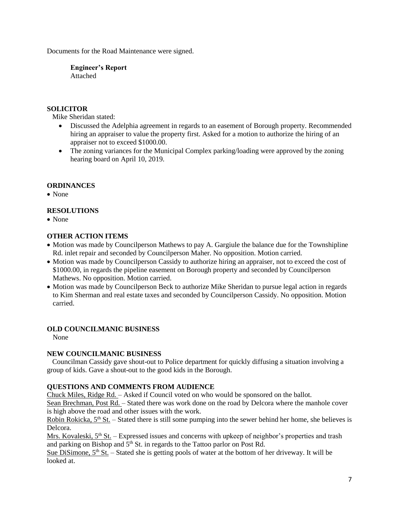Documents for the Road Maintenance were signed.

**Engineer's Report** Attached

# **SOLICITOR**

Mike Sheridan stated:

- Discussed the Adelphia agreement in regards to an easement of Borough property. Recommended hiring an appraiser to value the property first. Asked for a motion to authorize the hiring of an appraiser not to exceed \$1000.00.
- The zoning variances for the Municipal Complex parking/loading were approved by the zoning hearing board on April 10, 2019.

### **ORDINANCES**

• None

# **RESOLUTIONS**

• None

# **OTHER ACTION ITEMS**

- Motion was made by Councilperson Mathews to pay A. Gargiule the balance due for the Townshipline Rd. inlet repair and seconded by Councilperson Maher. No opposition. Motion carried.
- Motion was made by Councilperson Cassidy to authorize hiring an appraiser, not to exceed the cost of \$1000.00, in regards the pipeline easement on Borough property and seconded by Councilperson Mathews. No opposition. Motion carried.
- Motion was made by Councilperson Beck to authorize Mike Sheridan to pursue legal action in regards to Kim Sherman and real estate taxes and seconded by Councilperson Cassidy. No opposition. Motion carried.

### **OLD COUNCILMANIC BUSINESS**

None

### **NEW COUNCILMANIC BUSINESS**

 Councilman Cassidy gave shout-out to Police department for quickly diffusing a situation involving a group of kids. Gave a shout-out to the good kids in the Borough.

## **QUESTIONS AND COMMENTS FROM AUDIENCE**

Chuck Miles, Ridge Rd. – Asked if Council voted on who would be sponsored on the ballot.

Sean Brechman, Post Rd. – Stated there was work done on the road by Delcora where the manhole cover is high above the road and other issues with the work.

Robin Rokicka, 5<sup>th</sup> St. – Stated there is still some pumping into the sewer behind her home, she believes is Delcora.

Mrs. Kovaleski,  $5<sup>th</sup>$  St. – Expressed issues and concerns with upkeep of neighbor's properties and trash and parking on Bishop and  $5<sup>th</sup>$  St. in regards to the Tattoo parlor on Post Rd.

Sue DiSimone,  $5<sup>th</sup>$  St. – Stated she is getting pools of water at the bottom of her driveway. It will be looked at.